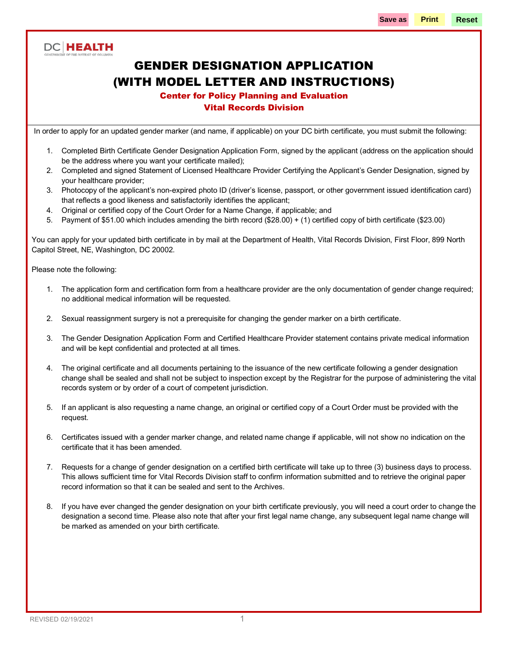### **DC HEALTH**

# GENDER DESIGNATION APPLICATION (WITH MODEL LETTER AND INSTRUCTIONS)

### Center for Policy Planning and Evaluation

#### Vital Records Division

In order to apply for an updated gender marker (and name, if applicable) on your DC birth certificate, you must submit the following:

- 1. Completed Birth Certificate Gender Designation Application Form, signed by the applicant (address on the application should be the address where you want your certificate mailed);
- 2. Completed and signed Statement of Licensed Healthcare Provider Certifying the Applicant's Gender Designation, signed by your healthcare provider;
- 3. Photocopy of the applicant's non-expired photo ID (driver's license, passport, or other government issued identification card) that reflects a good likeness and satisfactorily identifies the applicant;
- 4. Original or certified copy of the Court Order for a Name Change, if applicable; and
- 5. Payment of \$51.00 which includes amending the birth record (\$28.00) + (1) certified copy of birth certificate (\$23.00)

You can apply for your updated birth certificate in by mail at the Department of Health, Vital Records Division, First Floor, 899 North Capitol Street, NE, Washington, DC 20002.

Please note the following:

- 1. The application form and certification form from a healthcare provider are the only documentation of gender change required; no additional medical information will be requested.
- 2. Sexual reassignment surgery is not a prerequisite for changing the gender marker on a birth certificate.
- 3. The Gender Designation Application Form and Certified Healthcare Provider statement contains private medical information and will be kept confidential and protected at all times.
- 4. The original certificate and all documents pertaining to the issuance of the new certificate following a gender designation change shall be sealed and shall not be subject to inspection except by the Registrar for the purpose of administering the vital records system or by order of a court of competent jurisdiction.
- 5. If an applicant is also requesting a name change, an original or certified copy of a Court Order must be provided with the request.
- 6. Certificates issued with a gender marker change, and related name change if applicable, will not show no indication on the certificate that it has been amended.
- 7. Requests for a change of gender designation on a certified birth certificate will take up to three (3) business days to process. This allows sufficient time for Vital Records Division staff to confirm information submitted and to retrieve the original paper record information so that it can be sealed and sent to the Archives.
- 8. If you have ever changed the gender designation on your birth certificate previously, you will need a court order to change the designation a second time. Please also note that after your first legal name change, any subsequent legal name change will be marked as amended on your birth certificate.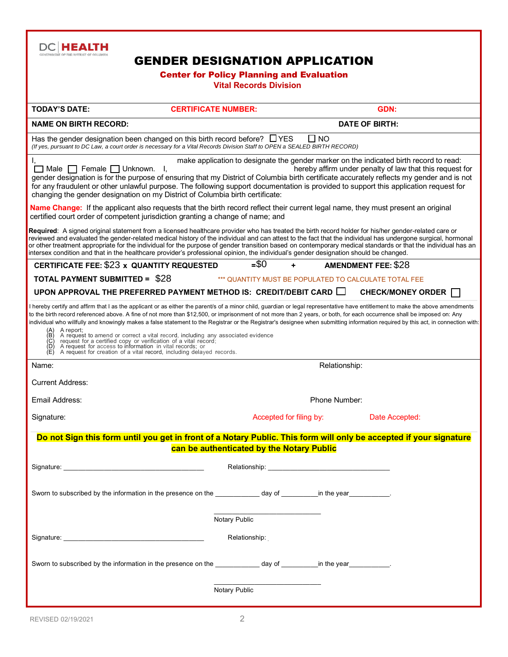

### GENDER DESIGNATION APPLICATION

#### Center for Policy Planning and Evaluation **Vital Records Division**

| <b>TODAY'S DATE:</b>                          | <b>CERTIFICATE NUMBER:</b>                                                                                                                                                                                                                                                                                                                                                                                                                                                                                                                                                                                                                                                                                                                                                                |                             |                                                       | <b>GDN:</b>                                                                                                                                        |  |
|-----------------------------------------------|-------------------------------------------------------------------------------------------------------------------------------------------------------------------------------------------------------------------------------------------------------------------------------------------------------------------------------------------------------------------------------------------------------------------------------------------------------------------------------------------------------------------------------------------------------------------------------------------------------------------------------------------------------------------------------------------------------------------------------------------------------------------------------------------|-----------------------------|-------------------------------------------------------|----------------------------------------------------------------------------------------------------------------------------------------------------|--|
| <b>NAME ON BIRTH RECORD:</b>                  |                                                                                                                                                                                                                                                                                                                                                                                                                                                                                                                                                                                                                                                                                                                                                                                           |                             | <b>DATE OF BIRTH:</b>                                 |                                                                                                                                                    |  |
|                                               | Has the gender designation been changed on this birth record before? $\Box$ YES<br>(If yes, pursuant to DC Law, a court order is necessary for a Vital Records Division Staff to OPEN a SEALED BIRTH RECORD)                                                                                                                                                                                                                                                                                                                                                                                                                                                                                                                                                                              |                             | $\square$ NO                                          |                                                                                                                                                    |  |
| $\Box$ Male $\Box$ Female $\Box$ Unknown.     | - I.<br>gender designation is for the purpose of ensuring that my District of Columbia birth certificate accurately reflects my gender and is not<br>for any fraudulent or other unlawful purpose. The following support documentation is provided to support this application request for<br>changing the gender designation on my District of Columbia birth certificate:                                                                                                                                                                                                                                                                                                                                                                                                               |                             |                                                       | make application to designate the gender marker on the indicated birth record to read:<br>hereby affirm under penalty of law that this request for |  |
|                                               | Name Change: If the applicant also requests that the birth record reflect their current legal name, they must present an original<br>certified court order of competent jurisdiction granting a change of name; and                                                                                                                                                                                                                                                                                                                                                                                                                                                                                                                                                                       |                             |                                                       |                                                                                                                                                    |  |
|                                               | Required: A signed original statement from a licensed healthcare provider who has treated the birth record holder for his/her gender-related care or<br>reviewed and evaluated the gender-related medical history of the individual and can attest to the fact that the individual has undergone surgical, hormonal<br>or other treatment appropriate for the individual for the purpose of gender transition based on contemporary medical standards or that the individual has an<br>intersex condition and that in the healthcare provider's professional opinion, the individual's gender designation should be changed.                                                                                                                                                              |                             |                                                       |                                                                                                                                                    |  |
| CERTIFICATE FEE: \$23 x QUANTITY REQUESTED    |                                                                                                                                                                                                                                                                                                                                                                                                                                                                                                                                                                                                                                                                                                                                                                                           | $= $0$                      |                                                       | <b>AMENDMENT FEE: \$28</b>                                                                                                                         |  |
| <b>TOTAL PAYMENT SUBMITTED = \$28</b>         |                                                                                                                                                                                                                                                                                                                                                                                                                                                                                                                                                                                                                                                                                                                                                                                           |                             | *** QUANTITY MUST BE POPULATED TO CALCULATE TOTAL FEE |                                                                                                                                                    |  |
|                                               | UPON APPROVAL THE PREFERRED PAYMENT METHOD IS: CREDIT/DEBIT CARD $\Box$                                                                                                                                                                                                                                                                                                                                                                                                                                                                                                                                                                                                                                                                                                                   |                             |                                                       | <b>CHECK/MONEY ORDER</b>                                                                                                                           |  |
| A report;<br>$(A)$<br>$(B)$<br>$(C)$<br>$(E)$ | I hereby certify and affirm that I as the applicant or as either the parent/s of a minor child, guardian or legal representative have entitlement to make the above amendments<br>to the birth record referenced above. A fine of not more than \$12,500, or imprisonment of not more than 2 years, or both, for each occurrence shall be imposed on: Any<br>individual who willfully and knowingly makes a false statement to the Registrar or the Registrar's designee when submitting information required by this act, in connection with:<br>A request to amend or correct a vital record, including any associated evidence<br>request for a certified copy or verification of a vital record;<br>A request for access to information in vital records; or<br>A request for creatio |                             |                                                       |                                                                                                                                                    |  |
| Name:                                         | Relationship:                                                                                                                                                                                                                                                                                                                                                                                                                                                                                                                                                                                                                                                                                                                                                                             |                             |                                                       |                                                                                                                                                    |  |
| <b>Current Address:</b>                       |                                                                                                                                                                                                                                                                                                                                                                                                                                                                                                                                                                                                                                                                                                                                                                                           |                             |                                                       |                                                                                                                                                    |  |
| Email Address:                                |                                                                                                                                                                                                                                                                                                                                                                                                                                                                                                                                                                                                                                                                                                                                                                                           | Phone Number:               |                                                       |                                                                                                                                                    |  |
| Signature:                                    |                                                                                                                                                                                                                                                                                                                                                                                                                                                                                                                                                                                                                                                                                                                                                                                           | Accepted for filing by:     |                                                       | Date Accepted:                                                                                                                                     |  |
|                                               | Do not Sign this form until you get in front of a Notary Public. This form will only be accepted if your signature                                                                                                                                                                                                                                                                                                                                                                                                                                                                                                                                                                                                                                                                        |                             |                                                       |                                                                                                                                                    |  |
|                                               | can be authenticated by the Notary Public                                                                                                                                                                                                                                                                                                                                                                                                                                                                                                                                                                                                                                                                                                                                                 |                             |                                                       |                                                                                                                                                    |  |
|                                               |                                                                                                                                                                                                                                                                                                                                                                                                                                                                                                                                                                                                                                                                                                                                                                                           | Relationship: _____________ |                                                       |                                                                                                                                                    |  |
|                                               | Sworn to subscribed by the information in the presence on the ______________ day of ___________in the year___________.                                                                                                                                                                                                                                                                                                                                                                                                                                                                                                                                                                                                                                                                    |                             |                                                       |                                                                                                                                                    |  |
|                                               | Notary Public                                                                                                                                                                                                                                                                                                                                                                                                                                                                                                                                                                                                                                                                                                                                                                             |                             |                                                       |                                                                                                                                                    |  |
|                                               |                                                                                                                                                                                                                                                                                                                                                                                                                                                                                                                                                                                                                                                                                                                                                                                           | Relationship:               |                                                       |                                                                                                                                                    |  |
|                                               | Sworn to subscribed by the information in the presence on the state of the state of the state of the state of the state of the state of the state of the state of the state of the state of the state of the state of the stat                                                                                                                                                                                                                                                                                                                                                                                                                                                                                                                                                            |                             |                                                       |                                                                                                                                                    |  |
|                                               | Notary Public                                                                                                                                                                                                                                                                                                                                                                                                                                                                                                                                                                                                                                                                                                                                                                             |                             |                                                       |                                                                                                                                                    |  |